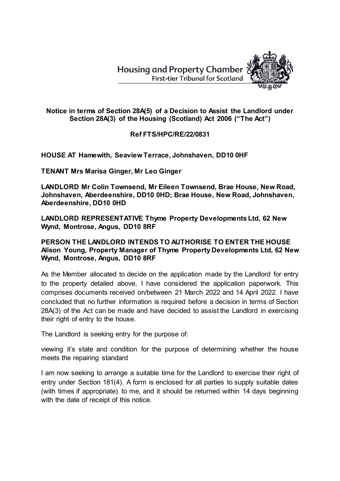

## **Notice in terms of Section 28A(5) of a Decision to Assist the Landlord under Section 28A(3) of the Housing (Scotland) Act 2006 ("The Act")**

## **Ref FTS/HPC/RE/22/0831**

**HOUSE AT Hamewith, Seaview Terrace, Johnshaven, DD10 0HF**

**TENANT Mrs Marisa Ginger, Mr Leo Ginger**

**LANDLORD Mr Colin Townsend, Mr Eileen Townsend, Brae House, New Road, Johnshaven, Aberdeenshire, DD10 0HD; Brae House, New Road, Johnshaven, Aberdeenshire, DD10 0HD**

**LANDLORD REPRESENTATIVE Thyme Property Developments Ltd, 62 New Wynd, Montrose, Angus, DD10 8RF**

**PERSON THE LANDLORD INTENDS TO AUTHORISE TO ENTER THE HOUSE Alison Young, Property Manager of Thyme Property Developments Ltd, 62 New Wynd, Montrose, Angus, DD10 8RF**

As the Member allocated to decide on the application made by the Landlord for entry to the property detailed above, I have considered the application paperwork. This comprises documents received on/between 21 March 2022 and 14 April 2022. I have concluded that no further information is required before a decision in terms of Section 28A(3) of the Act can be made and have decided to assist the Landlord in exercising their right of entry to the house.

The Landlord is seeking entry for the purpose of:

viewing it's state and condition for the purpose of determining whether the house meets the repairing standard

I am now seeking to arrange a suitable time for the Landlord to exercise their right of entry under Section 181(4). A form is enclosed for all parties to supply suitable dates (with times if appropriate) to me, and it should be returned within 14 days beginning with the date of receipt of this notice.